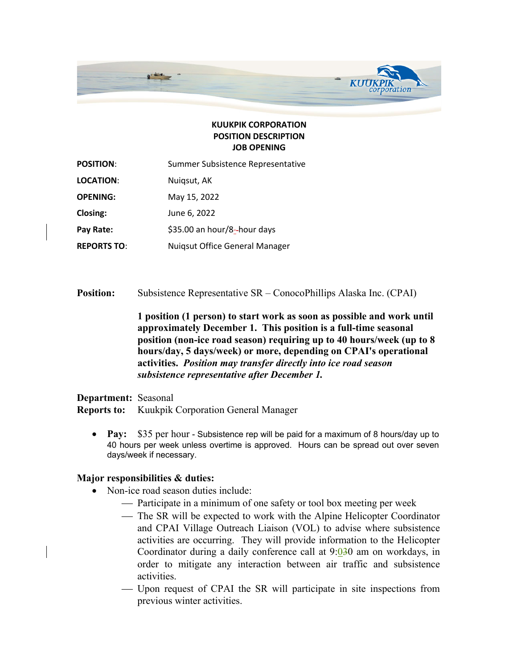

## **KUUKPIK CORPORATION POSITION DESCRIPTION JOB OPENING**

| <b>POSITION:</b>   | Summer Subsistence Representative |
|--------------------|-----------------------------------|
| <b>LOCATION:</b>   | Nuigsut, AK                       |
| <b>OPENING:</b>    | May 15, 2022                      |
| <b>Closing:</b>    | June 6, 2022                      |
| Pay Rate:          | \$35.00 an hour/8--hour days      |
| <b>REPORTS TO:</b> | Nuigsut Office General Manager    |

**Position:** Subsistence Representative SR – ConocoPhillips Alaska Inc. (CPAI)

**1 position (1 person) to start work as soon as possible and work until approximately December 1. This position is a full-time seasonal position (non-ice road season) requiring up to 40 hours/week (up to 8 hours/day, 5 days/week) or more, depending on CPAI's operational activities.** *Position may transfer directly into ice road season subsistence representative after December 1.*

**Department:** Seasonal **Reports to:** Kuukpik Corporation General Manager

• **Pay:** \$35 per hour - Subsistence rep will be paid for a maximum of 8 hours/day up to 40 hours per week unless overtime is approved. Hours can be spread out over seven days/week if necessary.

## **Major responsibilities & duties:**

- Non-ice road season duties include:
	- Participate in a minimum of one safety or tool box meeting per week
	- The SR will be expected to work with the Alpine Helicopter Coordinator and CPAI Village Outreach Liaison (VOL) to advise where subsistence activities are occurring. They will provide information to the Helicopter Coordinator during a daily conference call at 9:030 am on workdays, in order to mitigate any interaction between air traffic and subsistence activities.
	- ¾ Upon request of CPAI the SR will participate in site inspections from previous winter activities.